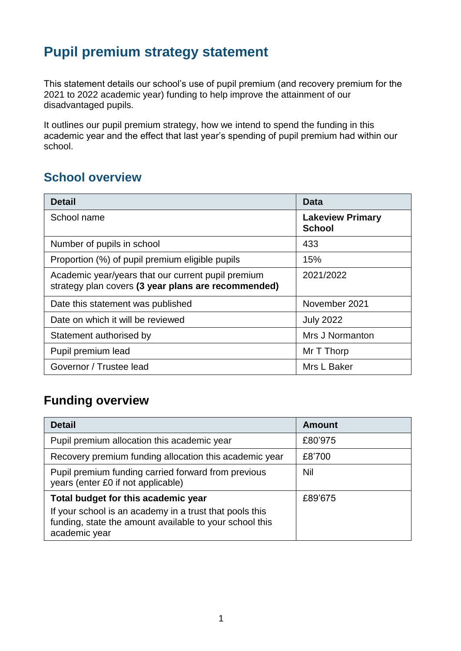# **Pupil premium strategy statement**

This statement details our school's use of pupil premium (and recovery premium for the 2021 to 2022 academic year) funding to help improve the attainment of our disadvantaged pupils.

It outlines our pupil premium strategy, how we intend to spend the funding in this academic year and the effect that last year's spending of pupil premium had within our school.

## **School overview**

| <b>Detail</b>                                                                                             | Data                                     |
|-----------------------------------------------------------------------------------------------------------|------------------------------------------|
| School name                                                                                               | <b>Lakeview Primary</b><br><b>School</b> |
| Number of pupils in school                                                                                | 433                                      |
| Proportion (%) of pupil premium eligible pupils                                                           | 15%                                      |
| Academic year/years that our current pupil premium<br>strategy plan covers (3 year plans are recommended) | 2021/2022                                |
| Date this statement was published                                                                         | November 2021                            |
| Date on which it will be reviewed                                                                         | <b>July 2022</b>                         |
| Statement authorised by                                                                                   | Mrs J Normanton                          |
| Pupil premium lead                                                                                        | Mr T Thorp                               |
| Governor / Trustee lead                                                                                   | Mrs L Baker                              |

## **Funding overview**

| <b>Detail</b>                                                                                  | <b>Amount</b> |
|------------------------------------------------------------------------------------------------|---------------|
| Pupil premium allocation this academic year                                                    | £80'975       |
| Recovery premium funding allocation this academic year                                         | £8'700        |
| Pupil premium funding carried forward from previous<br>years (enter £0 if not applicable)      | Nil           |
| Total budget for this academic year<br>If your school is an academy in a trust that pools this | £89'675       |
| funding, state the amount available to your school this<br>academic year                       |               |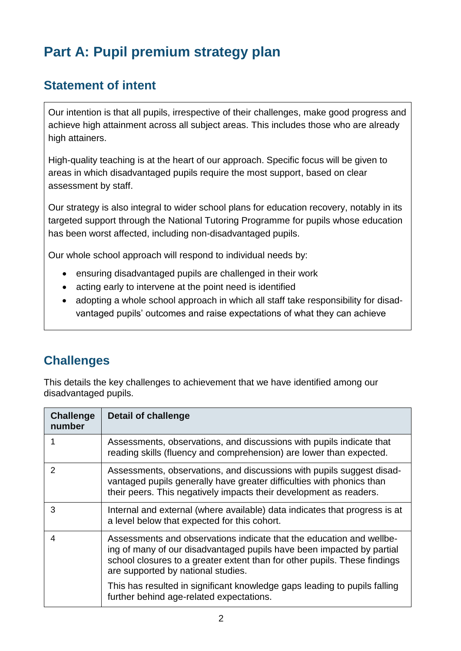# **Part A: Pupil premium strategy plan**

# **Statement of intent**

Our intention is that all pupils, irrespective of their challenges, make good progress and achieve high attainment across all subject areas. This includes those who are already high attainers.

High-quality teaching is at the heart of our approach. Specific focus will be given to areas in which disadvantaged pupils require the most support, based on clear assessment by staff.

Our strategy is also integral to wider school plans for education recovery, notably in its targeted support through the National Tutoring Programme for pupils whose education has been worst affected, including non-disadvantaged pupils.

Our whole school approach will respond to individual needs by:

- ensuring disadvantaged pupils are challenged in their work
- acting early to intervene at the point need is identified
- adopting a whole school approach in which all staff take responsibility for disadvantaged pupils' outcomes and raise expectations of what they can achieve

# **Challenges**

This details the key challenges to achievement that we have identified among our disadvantaged pupils.

| <b>Challenge</b><br>number | <b>Detail of challenge</b>                                                                                                                                                                                                                                       |
|----------------------------|------------------------------------------------------------------------------------------------------------------------------------------------------------------------------------------------------------------------------------------------------------------|
|                            | Assessments, observations, and discussions with pupils indicate that<br>reading skills (fluency and comprehension) are lower than expected.                                                                                                                      |
| 2                          | Assessments, observations, and discussions with pupils suggest disad-<br>vantaged pupils generally have greater difficulties with phonics than<br>their peers. This negatively impacts their development as readers.                                             |
| 3                          | Internal and external (where available) data indicates that progress is at<br>a level below that expected for this cohort.                                                                                                                                       |
| 4                          | Assessments and observations indicate that the education and wellbe-<br>ing of many of our disadvantaged pupils have been impacted by partial<br>school closures to a greater extent than for other pupils. These findings<br>are supported by national studies. |
|                            | This has resulted in significant knowledge gaps leading to pupils falling<br>further behind age-related expectations.                                                                                                                                            |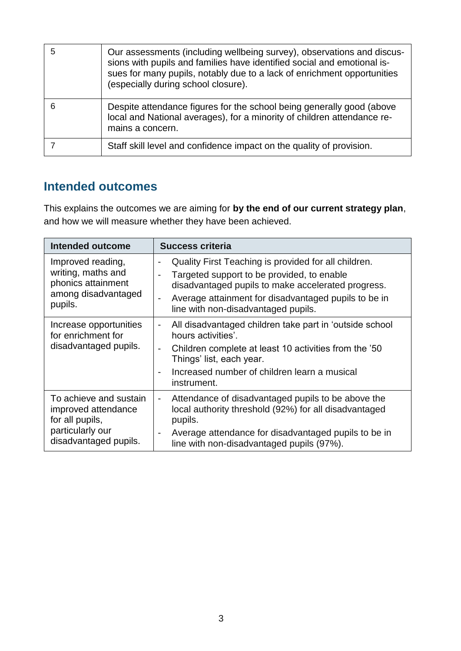| Our assessments (including wellbeing survey), observations and discus-<br>sions with pupils and families have identified social and emotional is-<br>sues for many pupils, notably due to a lack of enrichment opportunities<br>(especially during school closure). |
|---------------------------------------------------------------------------------------------------------------------------------------------------------------------------------------------------------------------------------------------------------------------|
| Despite attendance figures for the school being generally good (above<br>local and National averages), for a minority of children attendance re-<br>mains a concern.                                                                                                |
| Staff skill level and confidence impact on the quality of provision.                                                                                                                                                                                                |

# **Intended outcomes**

This explains the outcomes we are aiming for **by the end of our current strategy plan**, and how we will measure whether they have been achieved.

| <b>Intended outcome</b>                                                                                       | <b>Success criteria</b>                                                                                                                                                                                                                                                                                                                     |
|---------------------------------------------------------------------------------------------------------------|---------------------------------------------------------------------------------------------------------------------------------------------------------------------------------------------------------------------------------------------------------------------------------------------------------------------------------------------|
| Improved reading,<br>writing, maths and<br>phonics attainment<br>among disadvantaged<br>pupils.               | Quality First Teaching is provided for all children.<br>$\overline{\phantom{a}}$<br>Targeted support to be provided, to enable<br>$\overline{\phantom{0}}$<br>disadvantaged pupils to make accelerated progress.<br>Average attainment for disadvantaged pupils to be in<br>$\overline{\phantom{a}}$<br>line with non-disadvantaged pupils. |
| Increase opportunities<br>for enrichment for<br>disadvantaged pupils.                                         | All disadvantaged children take part in 'outside school<br>$\qquad \qquad \blacksquare$<br>hours activities'.<br>Children complete at least 10 activities from the '50<br>$\overline{\phantom{a}}$<br>Things' list, each year.<br>Increased number of children learn a musical<br>$\overline{\phantom{a}}$<br>instrument.                   |
| To achieve and sustain<br>improved attendance<br>for all pupils,<br>particularly our<br>disadvantaged pupils. | Attendance of disadvantaged pupils to be above the<br>$\overline{\phantom{a}}$<br>local authority threshold (92%) for all disadvantaged<br>pupils.<br>Average attendance for disadvantaged pupils to be in<br>$\overline{\phantom{a}}$<br>line with non-disadvantaged pupils (97%).                                                         |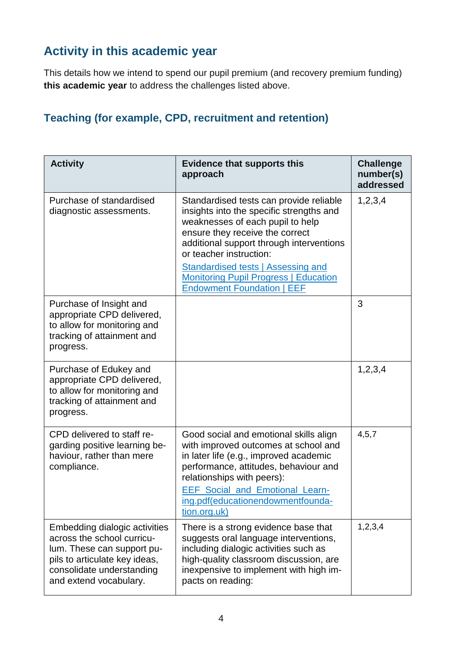# **Activity in this academic year**

This details how we intend to spend our pupil premium (and recovery premium funding) **this academic year** to address the challenges listed above.

### **Teaching (for example, CPD, recruitment and retention)**

| <b>Activity</b>                                                                                                                                                                   | <b>Evidence that supports this</b><br>approach                                                                                                                                                                                                                                                 | <b>Challenge</b><br>number(s)<br>addressed |
|-----------------------------------------------------------------------------------------------------------------------------------------------------------------------------------|------------------------------------------------------------------------------------------------------------------------------------------------------------------------------------------------------------------------------------------------------------------------------------------------|--------------------------------------------|
| Purchase of standardised<br>diagnostic assessments.                                                                                                                               | Standardised tests can provide reliable<br>insights into the specific strengths and<br>weaknesses of each pupil to help<br>ensure they receive the correct<br>additional support through interventions<br>or teacher instruction:                                                              | 1,2,3,4                                    |
|                                                                                                                                                                                   | <b>Standardised tests   Assessing and</b><br><b>Monitoring Pupil Progress   Education</b><br><b>Endowment Foundation   EEF</b>                                                                                                                                                                 |                                            |
| Purchase of Insight and<br>appropriate CPD delivered,<br>to allow for monitoring and<br>tracking of attainment and<br>progress.                                                   |                                                                                                                                                                                                                                                                                                | 3                                          |
| Purchase of Edukey and<br>appropriate CPD delivered,<br>to allow for monitoring and<br>tracking of attainment and<br>progress.                                                    |                                                                                                                                                                                                                                                                                                | 1,2,3,4                                    |
| CPD delivered to staff re-<br>garding positive learning be-<br>haviour, rather than mere<br>compliance.                                                                           | Good social and emotional skills align<br>with improved outcomes at school and<br>in later life (e.g., improved academic<br>performance, attitudes, behaviour and<br>relationships with peers):<br><b>EEF Social and Emotional Learn-</b><br>ing.pdf(educationendowmentfounda-<br>tion.org.uk) | 4, 5, 7                                    |
| Embedding dialogic activities<br>across the school curricu-<br>lum. These can support pu-<br>pils to articulate key ideas,<br>consolidate understanding<br>and extend vocabulary. | There is a strong evidence base that<br>suggests oral language interventions,<br>including dialogic activities such as<br>high-quality classroom discussion, are<br>inexpensive to implement with high im-<br>pacts on reading:                                                                | 1, 2, 3, 4                                 |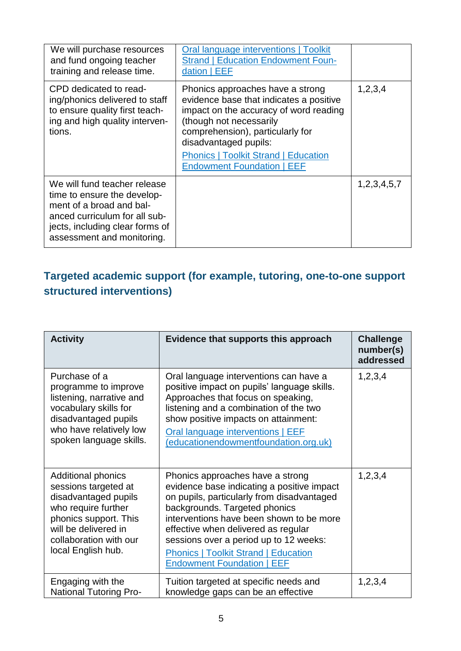| We will purchase resources<br>and fund ongoing teacher<br>training and release time.                                                                                                      | Oral language interventions   Toolkit<br><b>Strand   Education Endowment Foun-</b><br>dation   EEF                                                                                                                                                                                                |                  |
|-------------------------------------------------------------------------------------------------------------------------------------------------------------------------------------------|---------------------------------------------------------------------------------------------------------------------------------------------------------------------------------------------------------------------------------------------------------------------------------------------------|------------------|
| CPD dedicated to read-<br>ing/phonics delivered to staff<br>to ensure quality first teach-<br>ing and high quality interven-<br>tions.                                                    | Phonics approaches have a strong<br>evidence base that indicates a positive<br>impact on the accuracy of word reading<br>(though not necessarily<br>comprehension), particularly for<br>disadvantaged pupils:<br><b>Phonics   Toolkit Strand   Education</b><br><b>Endowment Foundation   EEF</b> | 1,2,3,4          |
| We will fund teacher release<br>time to ensure the develop-<br>ment of a broad and bal-<br>anced curriculum for all sub-<br>jects, including clear forms of<br>assessment and monitoring. |                                                                                                                                                                                                                                                                                                   | 1, 2, 3, 4, 5, 7 |

### **Targeted academic support (for example, tutoring, one-to-one support structured interventions)**

| <b>Activity</b>                                                                                                                                                                                   | Evidence that supports this approach                                                                                                                                                                                                                                                                                                                                           | <b>Challenge</b><br>number(s)<br>addressed |
|---------------------------------------------------------------------------------------------------------------------------------------------------------------------------------------------------|--------------------------------------------------------------------------------------------------------------------------------------------------------------------------------------------------------------------------------------------------------------------------------------------------------------------------------------------------------------------------------|--------------------------------------------|
| Purchase of a<br>programme to improve<br>listening, narrative and<br>vocabulary skills for<br>disadvantaged pupils<br>who have relatively low<br>spoken language skills.                          | Oral language interventions can have a<br>positive impact on pupils' language skills.<br>Approaches that focus on speaking,<br>listening and a combination of the two<br>show positive impacts on attainment:<br>Oral language interventions   EEF<br>(educationendowmentfoundation.org.uk)                                                                                    | 1,2,3,4                                    |
| <b>Additional phonics</b><br>sessions targeted at<br>disadvantaged pupils<br>who require further<br>phonics support. This<br>will be delivered in<br>collaboration with our<br>local English hub. | Phonics approaches have a strong<br>evidence base indicating a positive impact<br>on pupils, particularly from disadvantaged<br>backgrounds. Targeted phonics<br>interventions have been shown to be more<br>effective when delivered as regular<br>sessions over a period up to 12 weeks:<br><b>Phonics   Toolkit Strand   Education</b><br><b>Endowment Foundation   EEF</b> | 1,2,3,4                                    |
| Engaging with the<br><b>National Tutoring Pro-</b>                                                                                                                                                | Tuition targeted at specific needs and<br>knowledge gaps can be an effective                                                                                                                                                                                                                                                                                                   | 1,2,3,4                                    |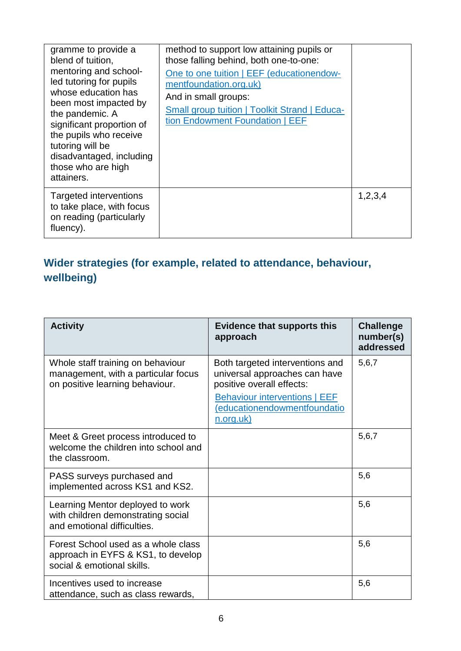| gramme to provide a<br>blend of tuition,<br>mentoring and school-<br>led tutoring for pupils<br>whose education has<br>been most impacted by<br>the pandemic. A<br>significant proportion of<br>the pupils who receive<br>tutoring will be<br>disadvantaged, including<br>those who are high<br>attainers. | method to support low attaining pupils or<br>those falling behind, both one-to-one:<br>One to one tuition   EEF (educationendow-<br>mentfoundation.org.uk)<br>And in small groups:<br><b>Small group tuition   Toolkit Strand   Educa-</b><br>tion Endowment Foundation   EEF |         |
|------------------------------------------------------------------------------------------------------------------------------------------------------------------------------------------------------------------------------------------------------------------------------------------------------------|-------------------------------------------------------------------------------------------------------------------------------------------------------------------------------------------------------------------------------------------------------------------------------|---------|
| Targeted interventions<br>to take place, with focus<br>on reading (particularly<br>fluency).                                                                                                                                                                                                               |                                                                                                                                                                                                                                                                               | 1,2,3,4 |

# **Wider strategies (for example, related to attendance, behaviour, wellbeing)**

| <b>Activity</b>                                                                                             | <b>Evidence that supports this</b><br>approach                                                                                                                                     | <b>Challenge</b><br>number(s)<br>addressed |
|-------------------------------------------------------------------------------------------------------------|------------------------------------------------------------------------------------------------------------------------------------------------------------------------------------|--------------------------------------------|
| Whole staff training on behaviour<br>management, with a particular focus<br>on positive learning behaviour. | Both targeted interventions and<br>universal approaches can have<br>positive overall effects:<br><b>Behaviour interventions   EEF</b><br>(educationendowmentfoundatio<br>n.org.uk) | 5,6,7                                      |
| Meet & Greet process introduced to<br>welcome the children into school and<br>the classroom.                |                                                                                                                                                                                    | 5,6,7                                      |
| PASS surveys purchased and<br>implemented across KS1 and KS2.                                               |                                                                                                                                                                                    | 5,6                                        |
| Learning Mentor deployed to work<br>with children demonstrating social<br>and emotional difficulties.       |                                                                                                                                                                                    | 5,6                                        |
| Forest School used as a whole class<br>approach in EYFS & KS1, to develop<br>social & emotional skills.     |                                                                                                                                                                                    | 5,6                                        |
| Incentives used to increase<br>attendance, such as class rewards,                                           |                                                                                                                                                                                    | 5,6                                        |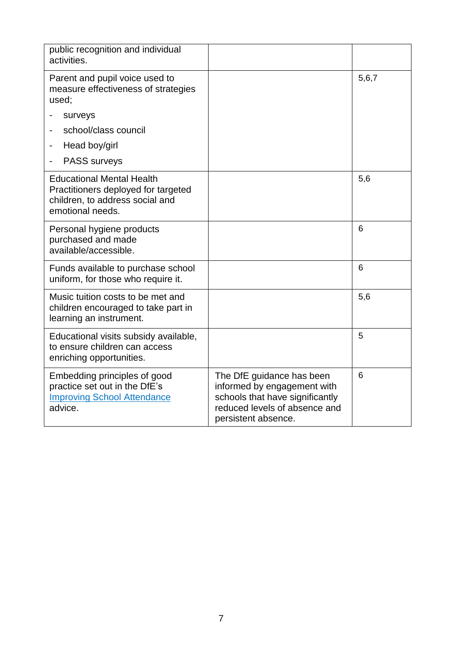| public recognition and individual<br>activities.                                                                               |                                                                                                                                                     |       |
|--------------------------------------------------------------------------------------------------------------------------------|-----------------------------------------------------------------------------------------------------------------------------------------------------|-------|
| Parent and pupil voice used to<br>measure effectiveness of strategies<br>used;                                                 |                                                                                                                                                     | 5,6,7 |
| surveys                                                                                                                        |                                                                                                                                                     |       |
| school/class council                                                                                                           |                                                                                                                                                     |       |
| Head boy/girl                                                                                                                  |                                                                                                                                                     |       |
| <b>PASS surveys</b>                                                                                                            |                                                                                                                                                     |       |
| <b>Educational Mental Health</b><br>Practitioners deployed for targeted<br>children, to address social and<br>emotional needs. |                                                                                                                                                     | 5,6   |
| Personal hygiene products<br>purchased and made<br>available/accessible.                                                       |                                                                                                                                                     | 6     |
| Funds available to purchase school<br>uniform, for those who require it.                                                       |                                                                                                                                                     | 6     |
| Music tuition costs to be met and<br>children encouraged to take part in<br>learning an instrument.                            |                                                                                                                                                     | 5,6   |
| Educational visits subsidy available,<br>to ensure children can access<br>enriching opportunities.                             |                                                                                                                                                     | 5     |
| Embedding principles of good<br>practice set out in the DfE's<br><b>Improving School Attendance</b><br>advice.                 | The DfE guidance has been<br>informed by engagement with<br>schools that have significantly<br>reduced levels of absence and<br>persistent absence. | 6     |